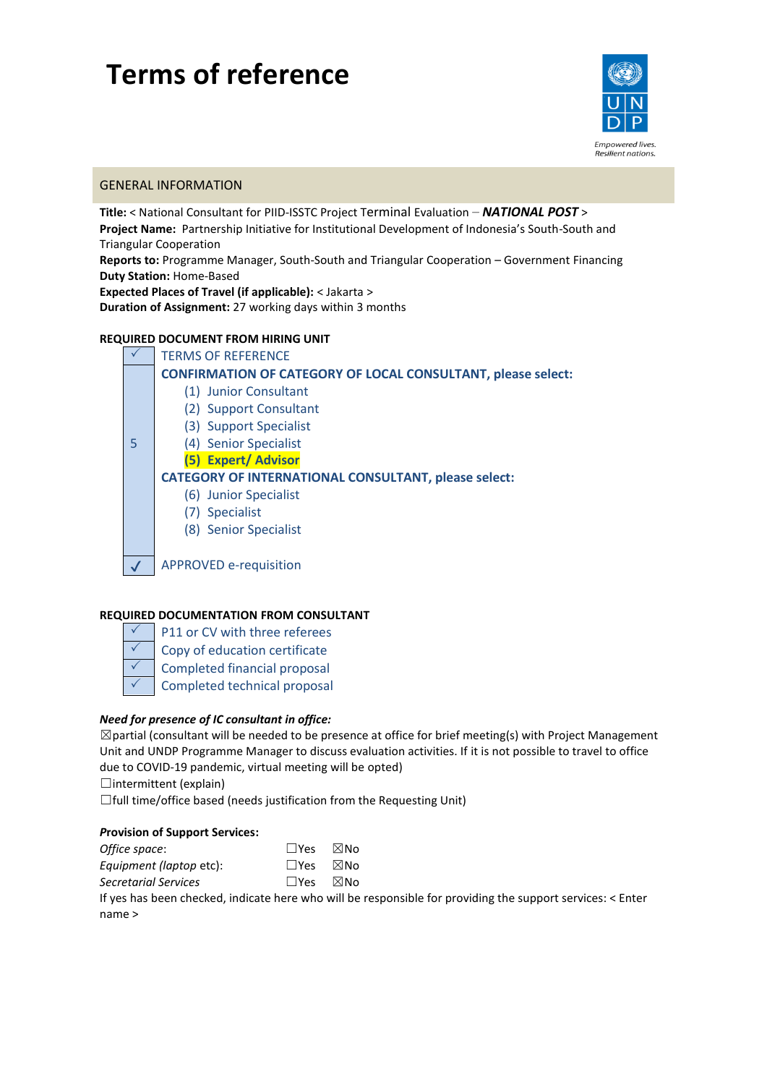# **Terms of reference**



l

# GENERAL INFORMATION

**Title:** < National Consultant for PIID-ISSTC Project Terminal Evaluation *– NATIONAL POST* > **Project Name:** Partnership Initiative for Institutional Development of Indonesia's South-South and Triangular Cooperation **Reports to:** Programme Manager, South-South and Triangular Cooperation – Government Financing **Duty Station:** Home-Based **Expected Places of Travel (if applicable):** < Jakarta >

**Duration of Assignment:** 27 working days within 3 months

# **REQUIRED DOCUMENT FROM HIRING UNIT**

 $\checkmark$  TERMS OF REFERENCE 5 **CONFIRMATION OF CATEGORY OF LOCAL CONSULTANT, please select:**  (1) Junior Consultant (2) Support Consultant (3) Support Specialist (4) Senior Specialist **(5) Expert/ Advisor CATEGORY OF INTERNATIONAL CONSULTANT, please select:** (6) Junior Specialist (7) Specialist (8) Senior Specialist APPROVED e-requisition

## **REQUIRED DOCUMENTATION FROM CONSULTANT**

- P11 or CV with three referees  $\sqrt{\phantom{a}}$  Copy of education certificate
- $\checkmark$  Completed financial proposal
- 
- $\checkmark$  Completed technical proposal

## *Need for presence of IC consultant in office:*

 $\boxtimes$ partial (consultant will be needed to be presence at office for brief meeting(s) with Project Management Unit and UNDP Programme Manager to discuss evaluation activities. If it is not possible to travel to office due to COVID-19 pandemic, virtual meeting will be opted)

 $\Box$ intermittent (explain)

☐full time/office based (needs justification from the Requesting Unit)

## *P***rovision of Support Services:**

| Office space:           | $\square$ Yes              | ⊠No |
|-------------------------|----------------------------|-----|
| Equipment (laptop etc): | $\square$ Yes $\square$ No |     |
| Secretarial Services    | $\Box$ Yes                 | ⊠No |

If yes has been checked, indicate here who will be responsible for providing the support services: < Enter name >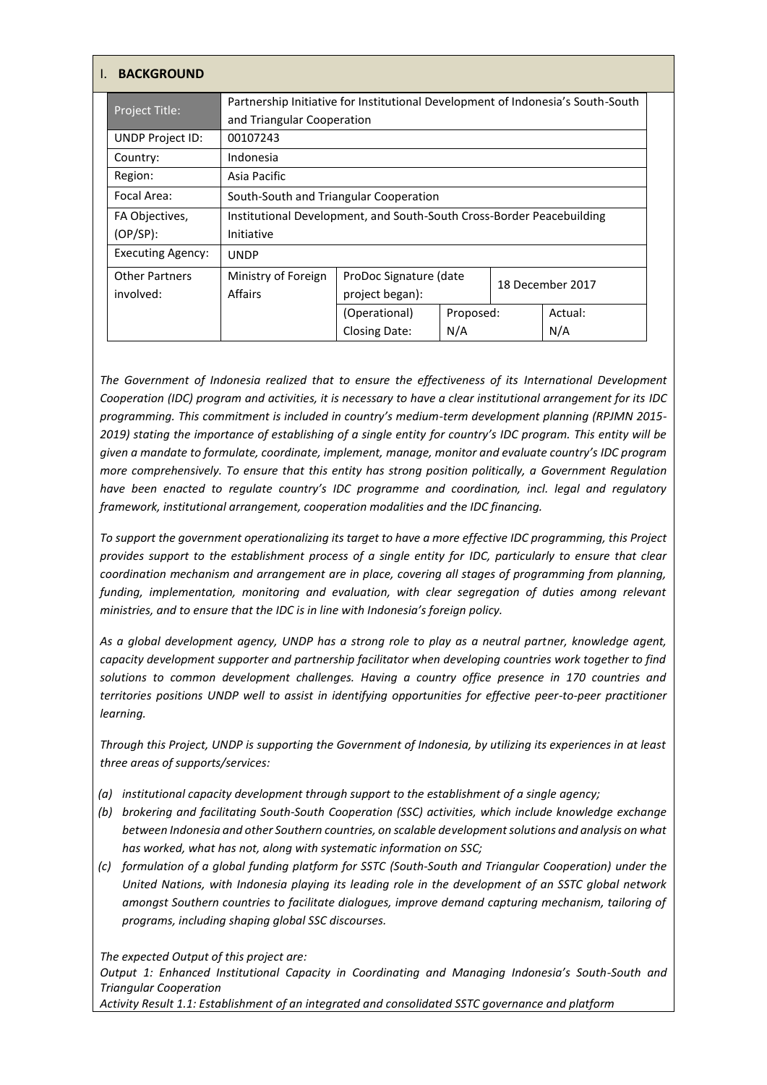|  | <b>BACKGROUND</b>        |                                                                                                                               |                                                                                 |           |                  |         |
|--|--------------------------|-------------------------------------------------------------------------------------------------------------------------------|---------------------------------------------------------------------------------|-----------|------------------|---------|
|  | Project Title:           |                                                                                                                               | Partnership Initiative for Institutional Development of Indonesia's South-South |           |                  |         |
|  |                          | and Triangular Cooperation                                                                                                    |                                                                                 |           |                  |         |
|  | UNDP Project ID:         | 00107243                                                                                                                      |                                                                                 |           |                  |         |
|  | Country:                 | Indonesia                                                                                                                     |                                                                                 |           |                  |         |
|  | Region:                  | Asia Pacific                                                                                                                  |                                                                                 |           |                  |         |
|  | Focal Area:              | South-South and Triangular Cooperation<br>Institutional Development, and South-South Cross-Border Peacebuilding<br>Initiative |                                                                                 |           |                  |         |
|  | FA Objectives,           |                                                                                                                               |                                                                                 |           |                  |         |
|  | $(OP/SP)$ :              |                                                                                                                               |                                                                                 |           |                  |         |
|  | <b>Executing Agency:</b> | <b>UNDP</b>                                                                                                                   |                                                                                 |           |                  |         |
|  | <b>Other Partners</b>    | Ministry of Foreign                                                                                                           | ProDoc Signature (date<br>project began):                                       |           | 18 December 2017 |         |
|  | involved:                | <b>Affairs</b>                                                                                                                |                                                                                 |           |                  |         |
|  |                          |                                                                                                                               | (Operational)                                                                   | Proposed: |                  | Actual: |
|  |                          |                                                                                                                               | Closing Date:                                                                   | N/A       |                  | N/A     |

*The Government of Indonesia realized that to ensure the effectiveness of its International Development Cooperation (IDC) program and activities, it is necessary to have a clear institutional arrangement for its IDC programming. This commitment is included in country's medium-term development planning (RPJMN 2015- 2019) stating the importance of establishing of a single entity for country's IDC program. This entity will be given a mandate to formulate, coordinate, implement, manage, monitor and evaluate country's IDC program more comprehensively. To ensure that this entity has strong position politically, a Government Regulation have been enacted to regulate country's IDC programme and coordination, incl. legal and regulatory framework, institutional arrangement, cooperation modalities and the IDC financing.*

*To support the government operationalizing its target to have a more effective IDC programming, this Project provides support to the establishment process of a single entity for IDC, particularly to ensure that clear coordination mechanism and arrangement are in place, covering all stages of programming from planning, funding, implementation, monitoring and evaluation, with clear segregation of duties among relevant ministries, and to ensure that the IDC is in line with Indonesia's foreign policy.*

*As a global development agency, UNDP has a strong role to play as a neutral partner, knowledge agent, capacity development supporter and partnership facilitator when developing countries work together to find solutions to common development challenges. Having a country office presence in 170 countries and territories positions UNDP well to assist in identifying opportunities for effective peer-to-peer practitioner learning.* 

*Through this Project, UNDP is supporting the Government of Indonesia, by utilizing its experiences in at least three areas of supports/services:* 

- *(a) institutional capacity development through support to the establishment of a single agency;*
- *(b) brokering and facilitating South-South Cooperation (SSC) activities, which include knowledge exchange between Indonesia and other Southern countries, on scalable development solutions and analysis on what has worked, what has not, along with systematic information on SSC;*
- *(c) formulation of a global funding platform for SSTC (South-South and Triangular Cooperation) under the United Nations, with Indonesia playing its leading role in the development of an SSTC global network amongst Southern countries to facilitate dialogues, improve demand capturing mechanism, tailoring of programs, including shaping global SSC discourses.*

*The expected Output of this project are:*

*Output 1: Enhanced Institutional Capacity in Coordinating and Managing Indonesia's South-South and Triangular Cooperation*

*Activity Result 1.1: Establishment of an integrated and consolidated SSTC governance and platform*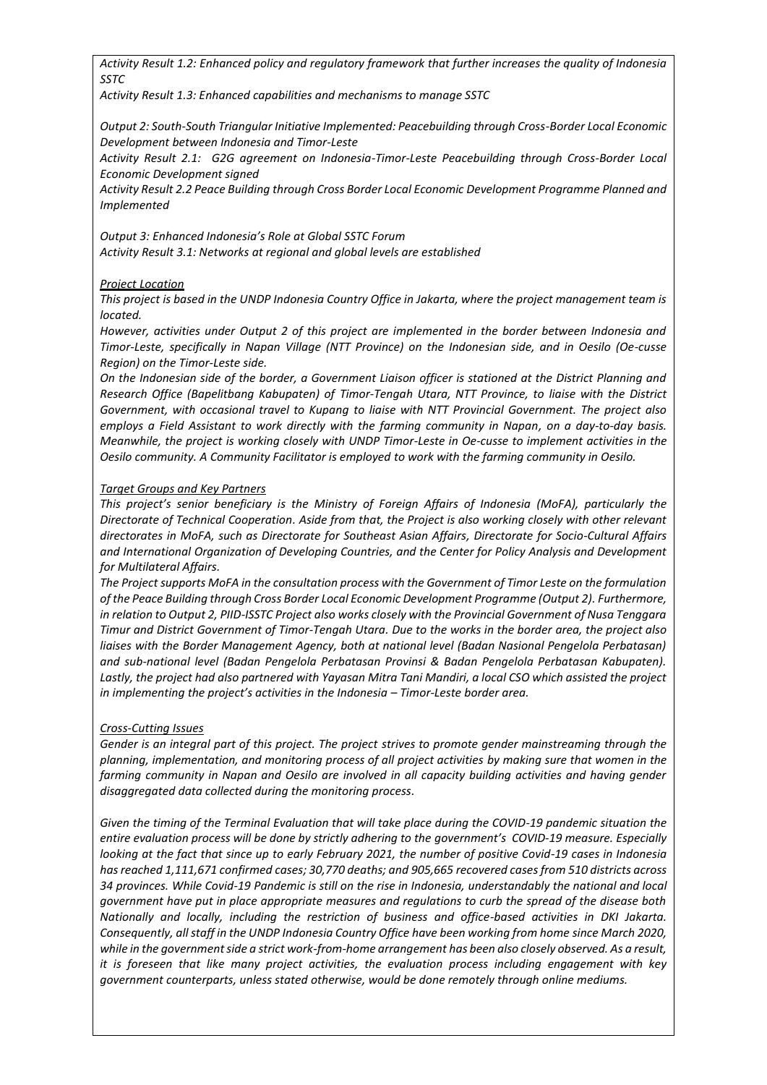*Activity Result 1.2: Enhanced policy and regulatory framework that further increases the quality of Indonesia SSTC*

*Activity Result 1.3: Enhanced capabilities and mechanisms to manage SSTC*

*Output 2: South-South Triangular Initiative Implemented: Peacebuilding through Cross-Border Local Economic Development between Indonesia and Timor-Leste*

*Activity Result 2.1: G2G agreement on Indonesia-Timor-Leste Peacebuilding through Cross-Border Local Economic Development signed*

*Activity Result 2.2 Peace Building through Cross Border Local Economic Development Programme Planned and Implemented*

*Output 3: Enhanced Indonesia's Role at Global SSTC Forum Activity Result 3.1: Networks at regional and global levels are established*

## *Project Location*

*This project is based in the UNDP Indonesia Country Office in Jakarta, where the project management team is located.* 

*However, activities under Output 2 of this project are implemented in the border between Indonesia and Timor-Leste, specifically in Napan Village (NTT Province) on the Indonesian side, and in Oesilo (Oe-cusse Region) on the Timor-Leste side.*

*On the Indonesian side of the border, a Government Liaison officer is stationed at the District Planning and Research Office (Bapelitbang Kabupaten) of Timor-Tengah Utara, NTT Province, to liaise with the District Government, with occasional travel to Kupang to liaise with NTT Provincial Government. The project also employs a Field Assistant to work directly with the farming community in Napan, on a day-to-day basis. Meanwhile, the project is working closely with UNDP Timor-Leste in Oe-cusse to implement activities in the Oesilo community. A Community Facilitator is employed to work with the farming community in Oesilo.* 

## *Target Groups and Key Partners*

*This project's senior beneficiary is the Ministry of Foreign Affairs of Indonesia (MoFA), particularly the Directorate of Technical Cooperation. Aside from that, the Project is also working closely with other relevant directorates in MoFA, such as Directorate for Southeast Asian Affairs, Directorate for Socio-Cultural Affairs and International Organization of Developing Countries, and the Center for Policy Analysis and Development for Multilateral Affairs.* 

*The Project supports MoFA in the consultation process with the Government of Timor Leste on the formulation of the Peace Building through Cross Border Local Economic Development Programme (Output 2). Furthermore, in relation to Output 2, PIID-ISSTC Project also works closely with the Provincial Government of Nusa Tenggara Timur and District Government of Timor-Tengah Utara. Due to the works in the border area, the project also liaises with the Border Management Agency, both at national level (Badan Nasional Pengelola Perbatasan) and sub-national level (Badan Pengelola Perbatasan Provinsi & Badan Pengelola Perbatasan Kabupaten).*  Lastly, the project had also partnered with Yayasan Mitra Tani Mandiri, a local CSO which assisted the project *in implementing the project's activities in the Indonesia – Timor-Leste border area.* 

## *Cross-Cutting Issues*

*Gender is an integral part of this project. The project strives to promote gender mainstreaming through the planning, implementation, and monitoring process of all project activities by making sure that women in the farming community in Napan and Oesilo are involved in all capacity building activities and having gender disaggregated data collected during the monitoring process.* 

*Given the timing of the Terminal Evaluation that will take place during the COVID-19 pandemic situation the entire evaluation process will be done by strictly adhering to the government's COVID-19 measure. Especially looking at the fact that since up to early February 2021, the number of positive Covid-19 cases in Indonesia has reached 1,111,671 confirmed cases; 30,770 deaths; and 905,665 recovered cases from 510 districts across 34 provinces. While Covid-19 Pandemic is still on the rise in Indonesia, understandably the national and local government have put in place appropriate measures and regulations to curb the spread of the disease both Nationally and locally, including the restriction of business and office-based activities in DKI Jakarta. Consequently, all staff in the UNDP Indonesia Country Office have been working from home since March 2020, while in the government side a strict work-from-home arrangement has been also closely observed. As a result, it is foreseen that like many project activities, the evaluation process including engagement with key government counterparts, unless stated otherwise, would be done remotely through online mediums.*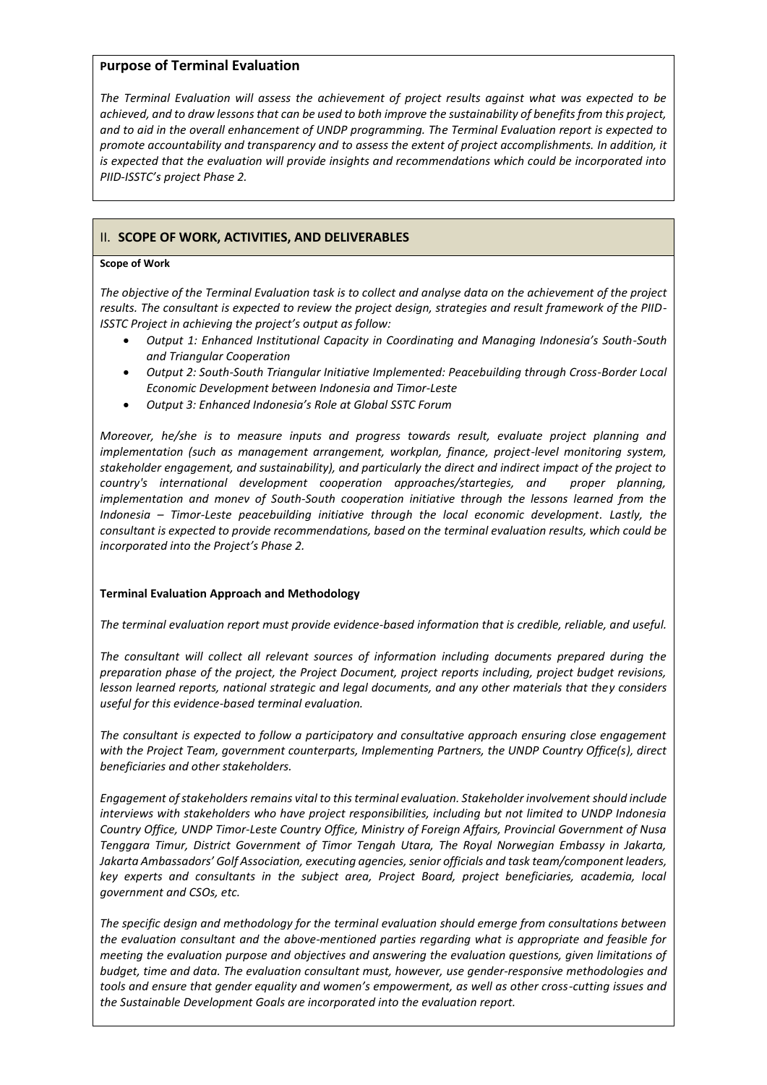# **Purpose of Terminal Evaluation**

*The Terminal Evaluation will assess the achievement of project results against what was expected to be achieved, and to draw lessons that can be used to both improve the sustainability of benefits from this project, and to aid in the overall enhancement of UNDP programming. The Terminal Evaluation report is expected to promote accountability and transparency and to assess the extent of project accomplishments. In addition, it is expected that the evaluation will provide insights and recommendations which could be incorporated into PIID-ISSTC's project Phase 2.* 

# II. **SCOPE OF WORK, ACTIVITIES, AND DELIVERABLES**

## **Scope of Work**

*The objective of the Terminal Evaluation task is to collect and analyse data on the achievement of the project results. The consultant is expected to review the project design, strategies and result framework of the PIID-ISSTC Project in achieving the project's output as follow:*

- *Output 1: Enhanced Institutional Capacity in Coordinating and Managing Indonesia's South-South and Triangular Cooperation*
- *Output 2: South-South Triangular Initiative Implemented: Peacebuilding through Cross-Border Local Economic Development between Indonesia and Timor-Leste*
- *Output 3: Enhanced Indonesia's Role at Global SSTC Forum*

*Moreover, he/she is to measure inputs and progress towards result, evaluate project planning and implementation (such as management arrangement, workplan, finance, project-level monitoring system, stakeholder engagement, and sustainability), and particularly the direct and indirect impact of the project to country's international development cooperation approaches/startegies, and proper planning, implementation and monev of South-South cooperation initiative through the lessons learned from the Indonesia – Timor-Leste peacebuilding initiative through the local economic development. Lastly, the consultant is expected to provide recommendations, based on the terminal evaluation results, which could be incorporated into the Project's Phase 2.* 

# **Terminal Evaluation Approach and Methodology**

*The terminal evaluation report must provide evidence-based information that is credible, reliable, and useful.*

*The consultant will collect all relevant sources of information including documents prepared during the preparation phase of the project, the Project Document, project reports including, project budget revisions, lesson learned reports, national strategic and legal documents, and any other materials that they considers useful for this evidence-based terminal evaluation.* 

*The consultant is expected to follow a participatory and consultative approach ensuring close engagement with the Project Team, government counterparts, Implementing Partners, the UNDP Country Office(s), direct beneficiaries and other stakeholders.*

*Engagement of stakeholders remains vital to thisterminal evaluation. Stakeholder involvement should include interviews with stakeholders who have project responsibilities, including but not limited to UNDP Indonesia Country Office, UNDP Timor-Leste Country Office, Ministry of Foreign Affairs, Provincial Government of Nusa Tenggara Timur, District Government of Timor Tengah Utara, The Royal Norwegian Embassy in Jakarta, Jakarta Ambassadors' Golf Association, executing agencies, senior officials and task team/component leaders, key experts and consultants in the subject area, Project Board, project beneficiaries, academia, local government and CSOs, etc.*

*The specific design and methodology for the terminal evaluation should emerge from consultations between the evaluation consultant and the above-mentioned parties regarding what is appropriate and feasible for meeting the evaluation purpose and objectives and answering the evaluation questions, given limitations of budget, time and data. The evaluation consultant must, however, use gender-responsive methodologies and tools and ensure that gender equality and women's empowerment, as well as other cross-cutting issues and the Sustainable Development Goals are incorporated into the evaluation report.*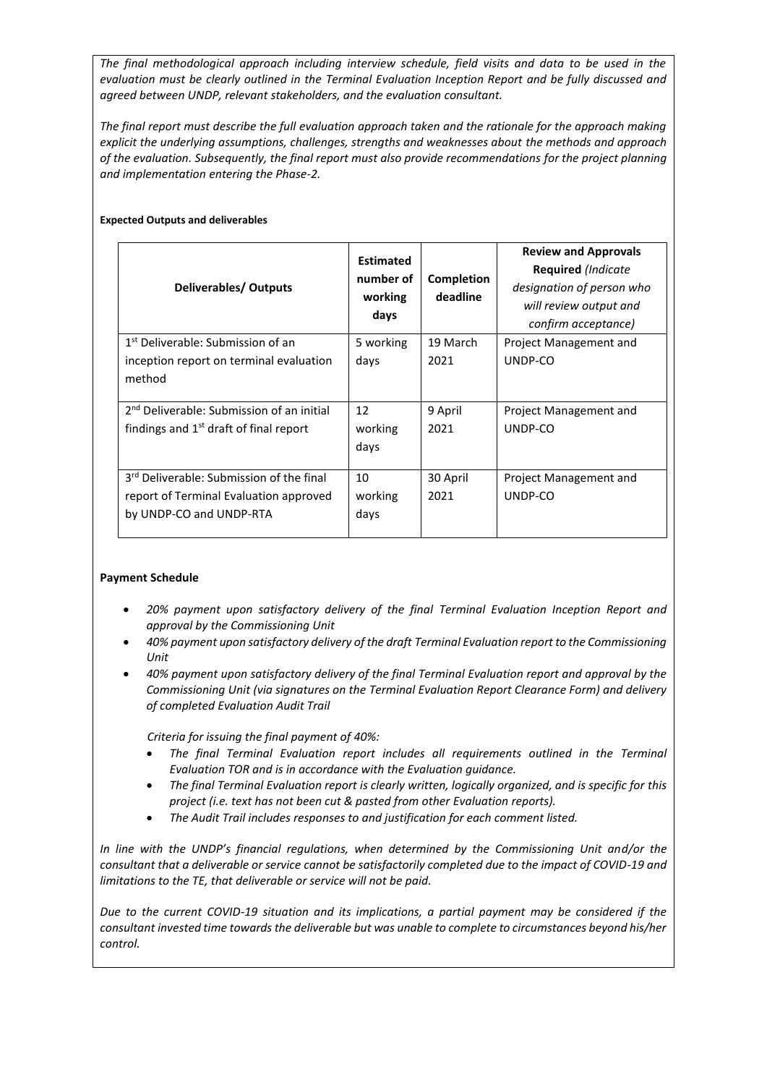*The final methodological approach including interview schedule, field visits and data to be used in the evaluation must be clearly outlined in the Terminal Evaluation Inception Report and be fully discussed and agreed between UNDP, relevant stakeholders, and the evaluation consultant.*

*The final report must describe the full evaluation approach taken and the rationale for the approach making explicit the underlying assumptions, challenges, strengths and weaknesses about the methods and approach of the evaluation. Subsequently, the final report must also provide recommendations for the project planning and implementation entering the Phase-2.*

# **Expected Outputs and deliverables**

| Deliverables/Outputs                                  | <b>Estimated</b><br>number of<br>working<br>days | Completion<br>deadline | <b>Review and Approvals</b><br><b>Required</b> (Indicate<br>designation of person who<br>will review output and<br>confirm acceptance) |
|-------------------------------------------------------|--------------------------------------------------|------------------------|----------------------------------------------------------------------------------------------------------------------------------------|
| 1 <sup>st</sup> Deliverable: Submission of an         | 5 working                                        | 19 March               | Project Management and                                                                                                                 |
| inception report on terminal evaluation               | days                                             | 2021                   | UNDP-CO                                                                                                                                |
| method                                                |                                                  |                        |                                                                                                                                        |
| 2 <sup>nd</sup> Deliverable: Submission of an initial | 12                                               | 9 April                | Project Management and                                                                                                                 |
| findings and $1st$ draft of final report              | working                                          | 2021                   | UNDP-CO                                                                                                                                |
|                                                       | days                                             |                        |                                                                                                                                        |
| 3 <sup>rd</sup> Deliverable: Submission of the final  | 10                                               | 30 April               | Project Management and                                                                                                                 |
| report of Terminal Evaluation approved                | working                                          | 2021                   | UNDP-CO                                                                                                                                |
| by UNDP-CO and UNDP-RTA                               | days                                             |                        |                                                                                                                                        |

# **Payment Schedule**

- *20% payment upon satisfactory delivery of the final Terminal Evaluation Inception Report and approval by the Commissioning Unit*
- *40% payment upon satisfactory delivery of the draft Terminal Evaluation report to the Commissioning Unit*
- *40% payment upon satisfactory delivery of the final Terminal Evaluation report and approval by the Commissioning Unit (via signatures on the Terminal Evaluation Report Clearance Form) and delivery of completed Evaluation Audit Trail*

*Criteria for issuing the final payment of 40%:*

- *The final Terminal Evaluation report includes all requirements outlined in the Terminal Evaluation TOR and is in accordance with the Evaluation guidance.*
- *The final Terminal Evaluation report is clearly written, logically organized, and is specific for this project (i.e. text has not been cut & pasted from other Evaluation reports).*
- *The Audit Trail includes responses to and justification for each comment listed.*

*In line with the UNDP's financial regulations, when determined by the Commissioning Unit and/or the consultant that a deliverable or service cannot be satisfactorily completed due to the impact of COVID-19 and limitations to the TE, that deliverable or service will not be paid.* 

*Due to the current COVID-19 situation and its implications, a partial payment may be considered if the consultant invested time towards the deliverable but was unable to complete to circumstances beyond his/her control.*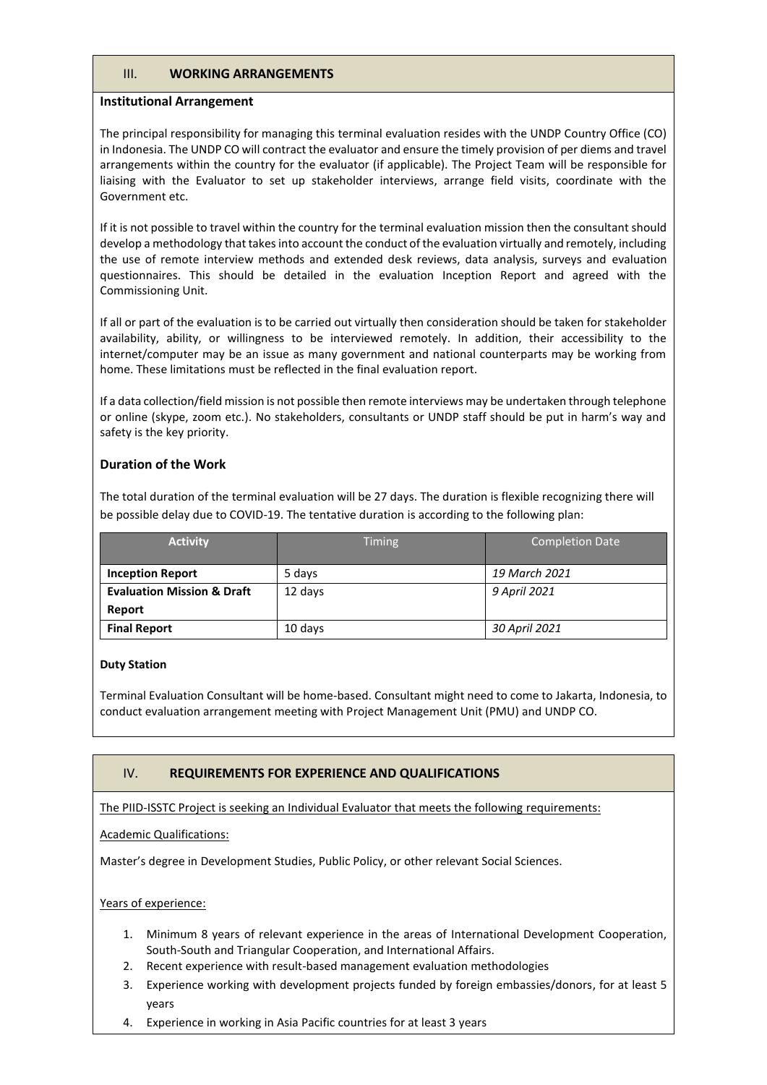# III. **WORKING ARRANGEMENTS**

#### **Institutional Arrangement**

The principal responsibility for managing this terminal evaluation resides with the UNDP Country Office (CO) in Indonesia. The UNDP CO will contract the evaluator and ensure the timely provision of per diems and travel arrangements within the country for the evaluator (if applicable). The Project Team will be responsible for liaising with the Evaluator to set up stakeholder interviews, arrange field visits, coordinate with the Government etc.

If it is not possible to travel within the country for the terminal evaluation mission then the consultant should develop a methodology that takes into account the conduct of the evaluation virtually and remotely, including the use of remote interview methods and extended desk reviews, data analysis, surveys and evaluation questionnaires. This should be detailed in the evaluation Inception Report and agreed with the Commissioning Unit.

If all or part of the evaluation is to be carried out virtually then consideration should be taken for stakeholder availability, ability, or willingness to be interviewed remotely. In addition, their accessibility to the internet/computer may be an issue as many government and national counterparts may be working from home. These limitations must be reflected in the final evaluation report.

If a data collection/field mission is not possible then remote interviews may be undertaken through telephone or online (skype, zoom etc.). No stakeholders, consultants or UNDP staff should be put in harm's way and safety is the key priority.

# **Duration of the Work**

The total duration of the terminal evaluation will be 27 days. The duration is flexible recognizing there will be possible delay due to COVID-19. The tentative duration is according to the following plan:

| <b>Activity</b>                       | <b>Timing</b> | <b>Completion Date</b> |
|---------------------------------------|---------------|------------------------|
| <b>Inception Report</b>               | 5 days        | 19 March 2021          |
| <b>Evaluation Mission &amp; Draft</b> | 12 days       | 9 April 2021           |
| Report                                |               |                        |
| <b>Final Report</b>                   | 10 days       | 30 April 2021          |

## **Duty Station**

Terminal Evaluation Consultant will be home-based. Consultant might need to come to Jakarta, Indonesia, to conduct evaluation arrangement meeting with Project Management Unit (PMU) and UNDP CO.

# IV. **REQUIREMENTS FOR EXPERIENCE AND QUALIFICATIONS**

The PIID-ISSTC Project is seeking an Individual Evaluator that meets the following requirements:

## Academic Qualifications:

Master's degree in Development Studies, Public Policy, or other relevant Social Sciences.

## Years of experience:

- 1. Minimum 8 years of relevant experience in the areas of International Development Cooperation, South-South and Triangular Cooperation, and International Affairs.
- 2. Recent experience with result-based management evaluation methodologies
- 3. Experience working with development projects funded by foreign embassies/donors, for at least 5 years
- 4. Experience in working in Asia Pacific countries for at least 3 years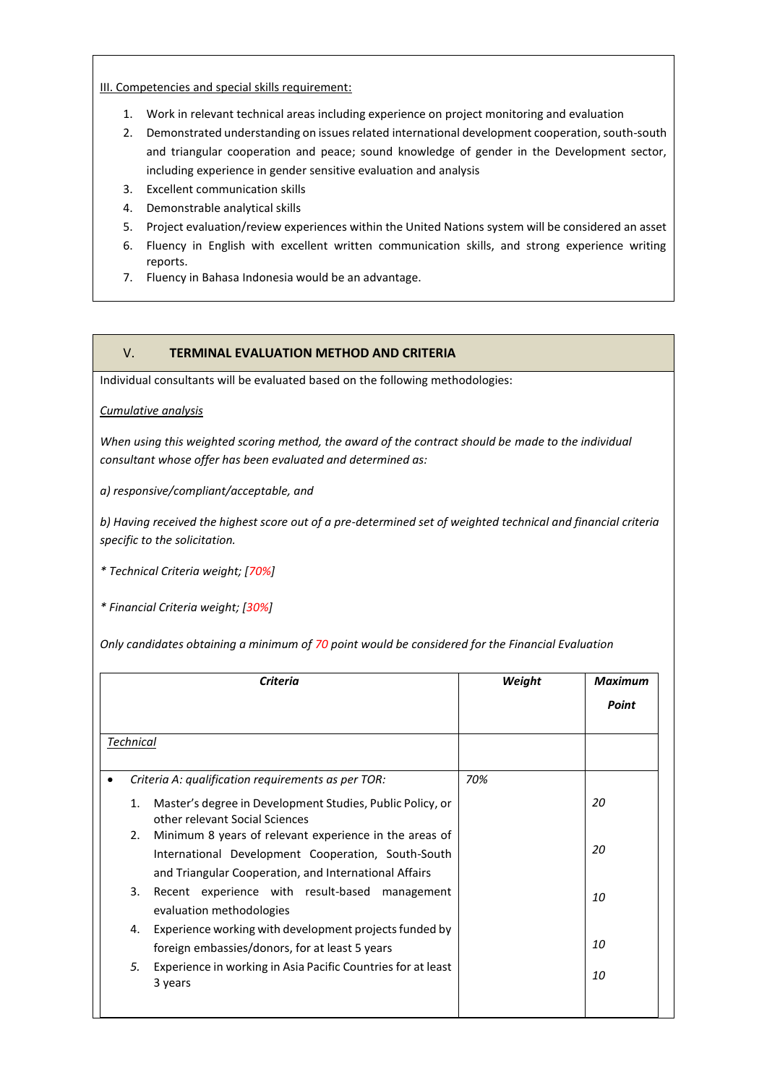III. Competencies and special skills requirement:

- 1. Work in relevant technical areas including experience on project monitoring and evaluation
- 2. Demonstrated understanding on issues related international development cooperation, south-south and triangular cooperation and peace; sound knowledge of gender in the Development sector, including experience in gender sensitive evaluation and analysis
- 3. Excellent communication skills
- 4. Demonstrable analytical skills
- 5. Project evaluation/review experiences within the United Nations system will be considered an asset
- 6. Fluency in English with excellent written communication skills, and strong experience writing reports.
- 7. Fluency in Bahasa Indonesia would be an advantage.

# V. **TERMINAL EVALUATION METHOD AND CRITERIA**

Individual consultants will be evaluated based on the following methodologies:

## *Cumulative analysis*

*When using this weighted scoring method, the award of the contract should be made to the individual consultant whose offer has been evaluated and determined as:*

*a) responsive/compliant/acceptable, and*

*b) Having received the highest score out of a pre-determined set of weighted technical and financial criteria specific to the solicitation.* 

*\* Technical Criteria weight; [70%]*

*\* Financial Criteria weight; [30%]*

*Only candidates obtaining a minimum of 70 point would be considered for the Financial Evaluation*

| Criteria       |                                                                                                                                                                       | Weight | <b>Maximum</b> |
|----------------|-----------------------------------------------------------------------------------------------------------------------------------------------------------------------|--------|----------------|
|                |                                                                                                                                                                       |        | Point          |
| Technical      |                                                                                                                                                                       |        |                |
|                | Criteria A: qualification requirements as per TOR:                                                                                                                    | 70%    |                |
| 1 <sub>1</sub> | Master's degree in Development Studies, Public Policy, or<br>other relevant Social Sciences                                                                           |        | 20             |
| 2.             | Minimum 8 years of relevant experience in the areas of<br>International Development Cooperation, South-South<br>and Triangular Cooperation, and International Affairs |        | 20             |
| 3.             | Recent experience with result-based management<br>evaluation methodologies                                                                                            |        | 10             |
| 4.             | Experience working with development projects funded by<br>foreign embassies/donors, for at least 5 years                                                              |        | 10             |
| 5.             | Experience in working in Asia Pacific Countries for at least<br>3 years                                                                                               |        | 10             |
|                |                                                                                                                                                                       |        |                |